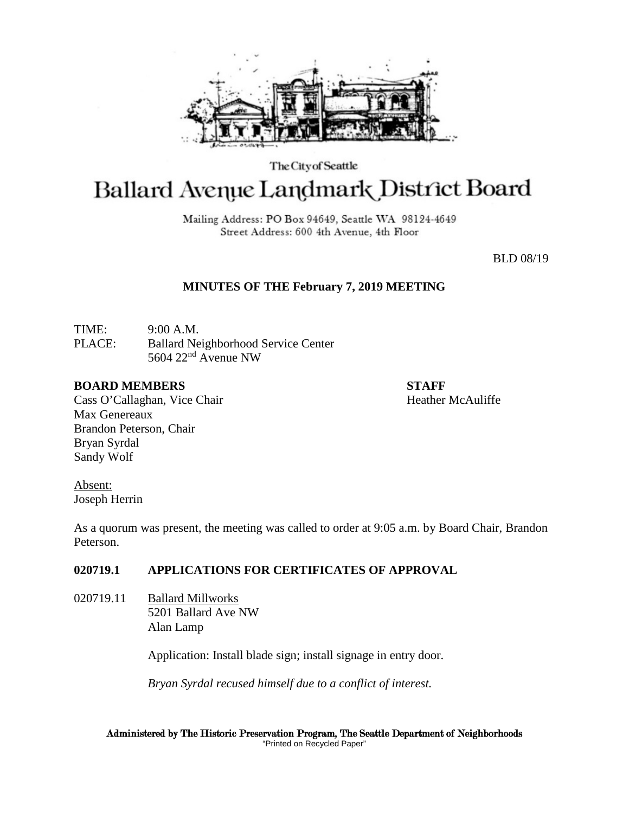

The City of Seattle

# Ballard Avenue Landmark District Board

Mailing Address: PO Box 94649, Seattle WA 98124-4649 Street Address: 600 4th Avenue, 4th Floor

BLD 08/19

# **MINUTES OF THE February 7, 2019 MEETING**

TIME: 9:00 A.M. PLACE: Ballard Neighborhood Service Center 5604 22nd Avenue NW

## **BOARD MEMBERS STAFF**

Cass O'Callaghan, Vice Chair Heather McAuliffe Max Genereaux Brandon Peterson, Chair Bryan Syrdal Sandy Wolf

Absent: Joseph Herrin

As a quorum was present, the meeting was called to order at 9:05 a.m. by Board Chair, Brandon Peterson.

# **020719.1 APPLICATIONS FOR CERTIFICATES OF APPROVAL**

020719.11 Ballard Millworks 5201 Ballard Ave NW Alan Lamp

Application: Install blade sign; install signage in entry door.

*Bryan Syrdal recused himself due to a conflict of interest.*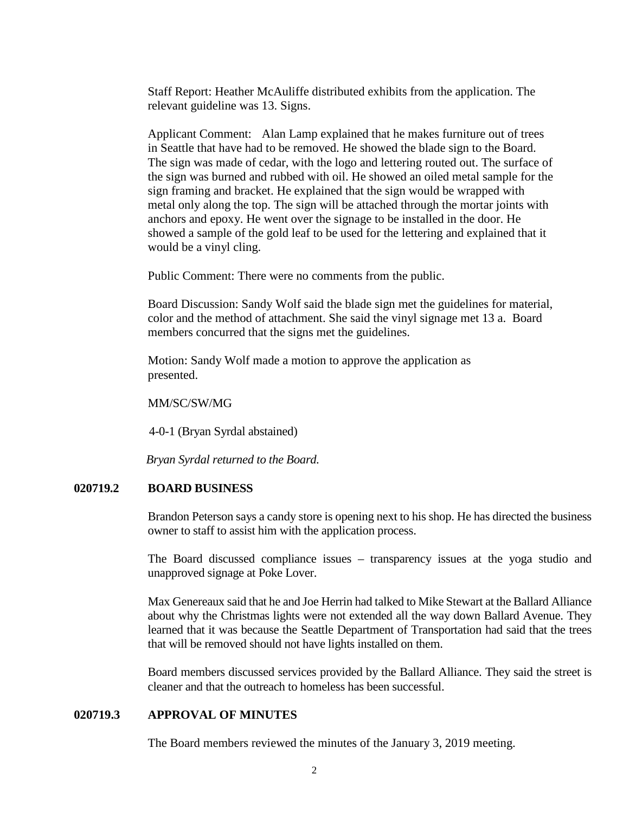Staff Report: Heather McAuliffe distributed exhibits from the application. The relevant guideline was 13. Signs.

Applicant Comment: Alan Lamp explained that he makes furniture out of trees in Seattle that have had to be removed. He showed the blade sign to the Board. The sign was made of cedar, with the logo and lettering routed out. The surface of the sign was burned and rubbed with oil. He showed an oiled metal sample for the sign framing and bracket. He explained that the sign would be wrapped with metal only along the top. The sign will be attached through the mortar joints with anchors and epoxy. He went over the signage to be installed in the door. He showed a sample of the gold leaf to be used for the lettering and explained that it would be a vinyl cling.

Public Comment: There were no comments from the public.

Board Discussion: Sandy Wolf said the blade sign met the guidelines for material, color and the method of attachment. She said the vinyl signage met 13 a. Board members concurred that the signs met the guidelines.

Motion: Sandy Wolf made a motion to approve the application as presented.

MM/SC/SW/MG

4-0-1 (Bryan Syrdal abstained)

*Bryan Syrdal returned to the Board.*

#### **020719.2 BOARD BUSINESS**

Brandon Peterson says a candy store is opening next to his shop. He has directed the business owner to staff to assist him with the application process.

The Board discussed compliance issues – transparency issues at the yoga studio and unapproved signage at Poke Lover.

Max Genereaux said that he and Joe Herrin had talked to Mike Stewart at the Ballard Alliance about why the Christmas lights were not extended all the way down Ballard Avenue. They learned that it was because the Seattle Department of Transportation had said that the trees that will be removed should not have lights installed on them.

Board members discussed services provided by the Ballard Alliance. They said the street is cleaner and that the outreach to homeless has been successful.

## **020719.3 APPROVAL OF MINUTES**

The Board members reviewed the minutes of the January 3, 2019 meeting.